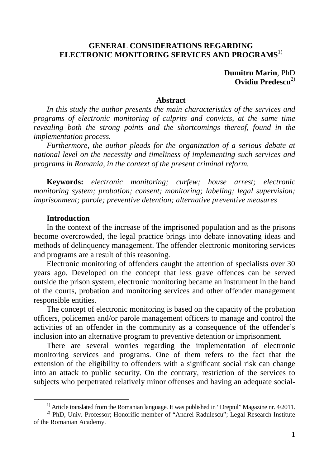#### **GENERAL CONSIDERATIONS REGARDING ELECTRONIC MONITORING SERVICES AND PROGRAMS**1)

**Dumitru Marin**, PhD **Ovidiu Predescu**2)

#### **Abstract**

*In this study the author presents the main characteristics of the services and programs of electronic monitoring of culprits and convicts, at the same time revealing both the strong points and the shortcomings thereof, found in the implementation process.* 

*Furthermore, the author pleads for the organization of a serious debate at national level on the necessity and timeliness of implementing such services and programs in Romania, in the context of the present criminal reform.* 

**Keywords:** *electronic monitoring; curfew; house arrest; electronic monitoring system; probation; consent; monitoring; labeling; legal supervision; imprisonment; parole; preventive detention; alternative preventive measures*

#### **Introduction**

 $\overline{a}$ 

In the context of the increase of the imprisoned population and as the prisons become overcrowded, the legal practice brings into debate innovating ideas and methods of delinquency management. The offender electronic monitoring services and programs are a result of this reasoning.

Electronic monitoring of offenders caught the attention of specialists over 30 years ago. Developed on the concept that less grave offences can be served outside the prison system, electronic monitoring became an instrument in the hand of the courts, probation and monitoring services and other offender management responsible entities.

The concept of electronic monitoring is based on the capacity of the probation officers, policemen and/or parole management officers to manage and control the activities of an offender in the community as a consequence of the offender's inclusion into an alternative program to preventive detention or imprisonment.

There are several worries regarding the implementation of electronic monitoring services and programs. One of them refers to the fact that the extension of the eligibility to offenders with a significant social risk can change into an attack to public security. On the contrary, restriction of the services to subjects who perpetrated relatively minor offenses and having an adequate social-

<sup>&</sup>lt;sup>1)</sup> Article translated from the Romanian language. It was published in "Dreptul" Magazine nr. 4/2011.

<sup>&</sup>lt;sup>2)</sup> PhD, Univ. Professor; Honorific member of "Andrei Radulescu"; Legal Research Institute of the Romanian Academy.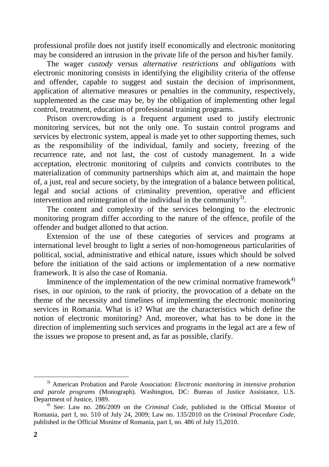professional profile does not justify itself economically and electronic monitoring may be considered an intrusion in the private life of the person and his/her family.

The wager *custody* versus *alternative restrictions and obligations* with electronic monitoring consists in identifying the eligibility criteria of the offense and offender, capable to suggest and sustain the decision of imprisonment, application of alternative measures or penalties in the community, respectively, supplemented as the case may be, by the obligation of implementing other legal control, treatment, education of professional training programs.

Prison overcrowding is a frequent argument used to justify electronic monitoring services, but not the only one. To sustain control programs and services by electronic system, appeal is made yet to other supporting themes, such as the responsibility of the individual, family and society, freezing of the recurrence rate, and not last, the cost of custody management. In a wide acceptation, electronic monitoring of culprits and convicts contributes to the materialization of community partnerships which aim at, and maintain the hope of, a just, real and secure society, by the integration of a balance between political, legal and social actions of criminality prevention, operative and efficient intervention and reintegration of the individual in the community<sup>3)</sup>.

The content and complexity of the services belonging to the electronic monitoring program differ according to the nature of the offence, profile of the offender and budget allotted to that action.

Extension of the use of these categories of services and programs at international level brought to light a series of non-homogeneous particularities of political, social, administrative and ethical nature, issues which should be solved before the initiation of the said actions or implementation of a new normative framework. It is also the case of Romania.

Imminence of the implementation of the new criminal normative framework $4$ ) rises, in our opinion, to the rank of priority, the provocation of a debate on the theme of the necessity and timelines of implementing the electronic monitoring services in Romania. What is it? What are the characteristics which define the notion of electronic monitoring? And, moreover, what has to be done in the direction of implementing such services and programs in the legal act are a few of the issues we propose to present and, as far as possible, clarify.

<sup>3)</sup> American Probation and Parole Association: *Electronic monitoring in intensive probation and parole programs* (Monograph). Washington, DC: Bureau of Justice Assistance, U.S. Department of Justice, 1989.

<sup>4)</sup> See: Law no. 286/2009 on the *Criminal Code*, published in the Official Monitor of Romania, part I, no. 510 of July 24, 2009; Law no. 135/2010 on the *Criminal Procedure Code*, published in the Official Monitor of Romania, part I, no. 486 of July 15,2010.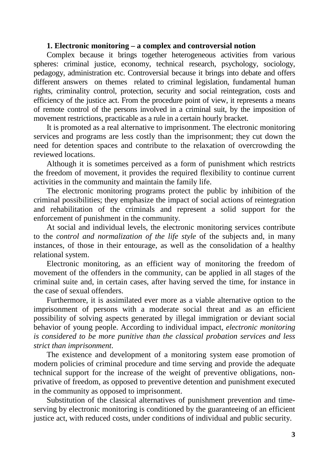#### **1. Electronic monitoring – a complex and controversial notion**

Complex because it brings together heterogeneous activities from various spheres: criminal justice, economy, technical research, psychology, sociology, pedagogy, administration etc. Controversial because it brings into debate and offers different answers on themes related to criminal legislation, fundamental human rights, criminality control, protection, security and social reintegration, costs and efficiency of the justice act. From the procedure point of view, it represents a means of remote control of the persons involved in a criminal suit, by the imposition of movement restrictions, practicable as a rule in a certain hourly bracket.

It is promoted as a real alternative to imprisonment. The electronic monitoring services and programs are less costly than the imprisonment; they cut down the need for detention spaces and contribute to the relaxation of overcrowding the reviewed locations.

Although it is sometimes perceived as a form of punishment which restricts the freedom of movement, it provides the required flexibility to continue current activities in the community and maintain the family life.

The electronic monitoring programs protect the public by inhibition of the criminal possibilities; they emphasize the impact of social actions of reintegration and rehabilitation of the criminals and represent a solid support for the enforcement of punishment in the community.

At social and individual levels, the electronic monitoring services contribute to the *control and normalization of the life style* of the subjects and, in many instances, of those in their entourage, as well as the consolidation of a healthy relational system.

Electronic monitoring, as an efficient way of monitoring the freedom of movement of the offenders in the community, can be applied in all stages of the criminal suite and, in certain cases, after having served the time, for instance in the case of sexual offenders.

Furthermore, it is assimilated ever more as a viable alternative option to the imprisonment of persons with a moderate social threat and as an efficient possibility of solving aspects generated by illegal immigration or deviant social behavior of young people. According to individual impact, *electronic monitoring is considered to be more punitive than the classical probation services and less strict than imprisonment*.

The existence and development of a monitoring system ease promotion of modern policies of criminal procedure and time serving and provide the adequate technical support for the increase of the weight of preventive obligations, nonprivative of freedom, as opposed to preventive detention and punishment executed in the community as opposed to imprisonment.

Substitution of the classical alternatives of punishment prevention and timeserving by electronic monitoring is conditioned by the guaranteeing of an efficient justice act, with reduced costs, under conditions of individual and public security.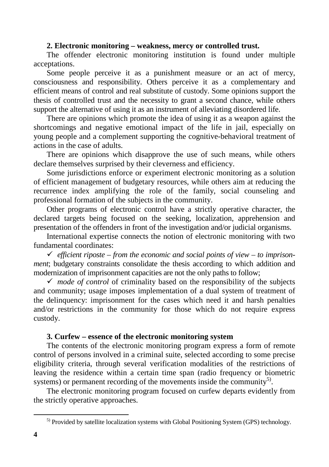### **2. Electronic monitoring – weakness, mercy or controlled trust.**

The offender electronic monitoring institution is found under multiple acceptations.

Some people perceive it as a punishment measure or an act of mercy, consciousness and responsibility. Others perceive it as a complementary and efficient means of control and real substitute of custody. Some opinions support the thesis of controlled trust and the necessity to grant a second chance, while others support the alternative of using it as an instrument of alleviating disordered life.

There are opinions which promote the idea of using it as a weapon against the shortcomings and negative emotional impact of the life in jail, especially on young people and a complement supporting the cognitive-behavioral treatment of actions in the case of adults.

There are opinions which disapprove the use of such means, while others declare themselves surprised by their cleverness and efficiency.

Some jurisdictions enforce or experiment electronic monitoring as a solution of efficient management of budgetary resources, while others aim at reducing the recurrence index amplifying the role of the family, social counseling and professional formation of the subjects in the community.

Other programs of electronic control have a strictly operative character, the declared targets being focused on the seeking, localization, apprehension and presentation of the offenders in front of the investigation and/or judicial organisms.

International expertise connects the notion of electronic monitoring with two fundamental coordinates:

 *efficient riposte – from the economic and social points of view – to imprisonment*; budgetary constraints consolidate the thesis according to which addition and modernization of imprisonment capacities are not the only paths to follow;

 $\checkmark$  *mode of control* of criminality based on the responsibility of the subjects and community; usage imposes implementation of a dual system of treatment of the delinquency: imprisonment for the cases which need it and harsh penalties and/or restrictions in the community for those which do not require express custody.

### **3. Curfew – essence of the electronic monitoring system**

The contents of the electronic monitoring program express a form of remote control of persons involved in a criminal suite, selected according to some precise eligibility criteria, through several verification modalities of the restrictions of leaving the residence within a certain time span (radio frequency or biometric systems) or permanent recording of the movements inside the community<sup>5)</sup>.

The electronic monitoring program focused on curfew departs evidently from the strictly operative approaches.

<sup>&</sup>lt;sup>5)</sup> Provided by satellite localization systems with Global Positioning System (GPS) technology.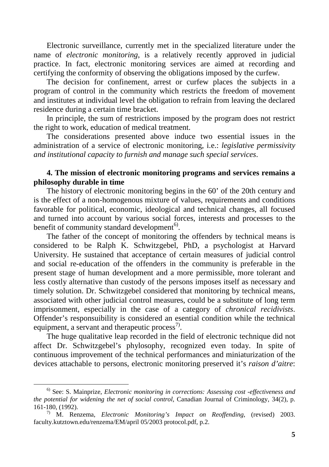Electronic surveillance, currently met in the specialized literature under the name of *electronic monitoring*, is a relatively recently approved in judicial practice. In fact, electronic monitoring services are aimed at recording and certifying the conformity of observing the obligations imposed by the curfew.

The decision for confinement, arrest or curfew places the subjects in a program of control in the community which restricts the freedom of movement and institutes at individual level the obligation to refrain from leaving the declared residence during a certain time bracket.

In principle, the sum of restrictions imposed by the program does not restrict the right to work, education of medical treatment.

The considerations presented above induce two essential issues in the administration of a service of electronic monitoring, i.e.: *legislative permissivity and institutional capacity to furnish and manage such special services*.

### **4. The mission of electronic monitoring programs and services remains a philosophy durable in time**

The history of electronic monitoring begins in the 60' of the 20th century and is the effect of a non-homogenous mixture of values, requirements and conditions favorable for political, economic, ideological and technical changes, all focused and turned into account by various social forces, interests and processes to the benefit of community standard development<sup>6)</sup>.

The father of the concept of monitoring the offenders by technical means is considered to be Ralph K. Schwitzgebel, PhD, a psychologist at Harvard University. He sustained that acceptance of certain measures of judicial control and social re-education of the offenders in the community is preferable in the present stage of human development and a more permissible, more tolerant and less costly alternative than custody of the persons imposes itself as necessary and timely solution. Dr. Schwitzgebel considered that monitoring by technical means, associated with other judicial control measures, could be a substitute of long term imprisonment, especially in the case of a category of *chronical recidivists*. Offender's responsuibility is considered an esential condition while the technical equipment, a servant and therapeutic process $\frac{7}{2}$ .

The huge qualitative leap recorded in the field of electronic technique did not affect Dr. Schwitzgebel's phylosophy, recognized even today. In spite of continuous improvement of the technical performances and miniaturization of the devices attachable to persons, electronic monitoring preserved it's *raison d'aitre*:

<sup>6)</sup> See: S. Mainprize, *Electronic monitoring in corrections: Assessing cost -effectiveness and the potential for widening the net of social control*, Canadian Journal of Criminology, 34(2), p. 161-180, (1992).

<sup>7)</sup> M. Renzema, *Electronic Monitoring's Impact on Reoffending*, (revised) 2003. faculty.kutztown.edu/renzema/EM/april 05/2003 protocol.pdf, p.2.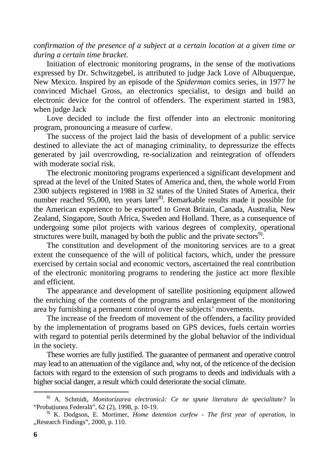*confirmation of the presence of a subject at a certain location at a given time or during a certain time bracket*.

Initiation of electronic monitoring programs, in the sense of the motivations expressed by Dr. Schwitzgebel, is attributed to judge Jack Love of Albuquerque, New Mexico. Inspired by an episode of the *Spiderman* comics series, in 1977 he convinced Michael Gross, an electronics specialist, to design and build an electronic device for the control of offenders. The experiment started in 1983, when judge Jack

Love decided to include the first offender into an electronic monitoring program, pronouncing a measure of curfew.

The success of the project laid the basis of development of a public service destined to alleviate the act of managing criminality, to depressurize the effects generated by jail overcrowding, re-socialization and reintegration of offenders with moderate social risk.

The electronic monitoring programs experienced a significant development and spread at the level of the United States of America and, then, the whole world From 2300 subjects registered in 1988 in 32 states of the United States of America, their number reached 95,000, ten years later<sup>8)</sup>. Remarkable results made it possible for the American experience to be exported to Great Britain, Canada, Australia, New Zealand, Singapore, South Africa, Sweden and Holland. There, as a consequence of undergoing some pilot projects with various degrees of complexity, operational structures were built, managed by both the public and the private sectors<sup>9)</sup>.

The constitution and development of the monitoring services are to a great extent the consequence of the will of political factors, which, under the pressure exercised by certain social and economic vectors, ascertained the real contribution of the electronic monitoring programs to rendering the justice act more flexible and efficient.

The appearance and development of satellite positioning equipment allowed the enriching of the contents of the programs and enlargement of the monitoring area by furnishing a permanent control over the subjects' movements.

The increase of the freedom of movement of the offenders, a facility provided by the implementation of programs based on GPS devices, fuels certain worries with regard to potential perils determined by the global behavior of the individual in the society.

These worries are fully justified. The guarantee of permanent and operative control may lead to an attenuation of the vigilance and, why not, of the reticence of the decision factors with regard to the extension of such programs to deeds and individuals with a higher social danger, a result which could deteriorate the social climate.

<sup>8)</sup> A. Schmidt, *Monitorizarea electronic*ă*: Ce ne spune literatura de specialitate?* în "Probațiunea Federală", 62 (2), 1998, p. 10-19.

<sup>9)</sup> K. Dodgson, E. Mortimer, *Home detention curfew - The first year of operation,* in "Research Findings", 2000, p. 110.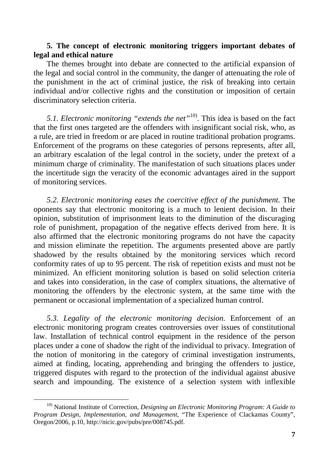#### **5. The concept of electronic monitoring triggers important debates of legal and ethical nature**

The themes brought into debate are connected to the artificial expansion of the legal and social control in the community, the danger of attenuating the role of the punishment in the act of criminal justice, the risk of breaking into certain individual and/or collective rights and the constitution or imposition of certain discriminatory selection criteria.

*5.1. Electronic monitoring "extends the net"*10). This idea is based on the fact that the first ones targeted are the offenders with insignificant social risk, who, as a rule, are tried in freedom or are placed in routine traditional probation programs. Enforcement of the programs on these categories of persons represents, after all, an arbitrary escalation of the legal control in the society, under the pretext of a minimum charge of criminality. The manifestation of such situations places under the incertitude sign the veracity of the economic advantages aired in the support of monitoring services.

*5.2. Electronic monitoring eases the coercitive effect of the punishment*. The oponents say that electronic monitoring is a much to lenient decision. In their opinion, substitution of imprisonment leats to the diminution of the discuraging role of punishment, propagation of the negative effects derived from here. It is also affirmed that the electronic monitoring programs do not have the capacity and mission eliminate the repetition. The arguments presented above are partly shadowed by the results obtained by the monitoring services which record conformity rates of up to 95 percent. The risk of repetition exists and must not be minimized. An efficient monitoring solution is based on solid selection criteria and takes into consideration, in the case of complex situations, the alternative of monitoring the offenders by the electronic system, at the same time with the permanent or occasional implementation of a specialized human control.

*5.3. Legality of the electronic monitoring decision*. Enforcement of an electronic monitoring program creates controversies over issues of constitutional law. Installation of technical control equipment in the residence of the person places under a cone of shadow the right of the individual to privacy. Integration of the notion of monitoring in the category of criminal investigation instruments, aimed at finding, locating, apprehending and bringing the offenders to justice, triggered disputes with regard to the protection of the individual against abusive search and impounding. The existence of a selection system with inflexible

<sup>10)</sup> National Institute of Correction, *Designing an Electronic Monitoring Program: A Guide to Program Design, Implementation, and Management*, "The Experience of Clackamas County", Oregon/2006, p.10, http://nicic.gov/pubs/pre/008745.pdf.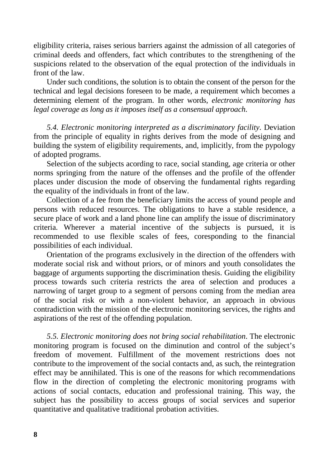eligibility criteria, raises serious barriers against the admission of all categories of criminal deeds and offenders, fact which contributes to the strengthening of the suspicions related to the observation of the equal protection of the individuals in front of the law.

Under such conditions, the solution is to obtain the consent of the person for the technical and legal decisions foreseen to be made, a requirement which becomes a determining element of the program. In other words, *electronic monitoring has legal coverage as long as it imposes itself as a consensual approach*.

*5.4. Electronic monitoring interpreted as a discriminatory facility*. Deviation from the principle of equality in rights derives from the mode of designing and building the system of eligibility requirements, and, implicitly, from the pypology of adopted programs.

Selection of the subjects acording to race, social standing, age criteria or other norms springing from the nature of the offenses and the profile of the offender places under discusion the mode of observing the fundamental rights regarding the equality of the individuals in front of the law.

Collection of a fee from the beneficiary limits the access of yound people and persons with reduced resources. The obligations to have a stable residence, a secure place of work and a land phone line can amplify the issue of discriminatory criteria. Wherever a material incentive of the subjects is pursued, it is recommended to use flexible scales of fees, coresponding to the financial possibilities of each individual.

Orientation of the programs exclusively in the direction of the offenders with moderate social risk and without priors, or of minors and youth consolidates the baggage of arguments supporting the discrimination thesis. Guiding the eligibility process towards such criteria restricts the area of selection and produces a narrowing of target group to a segment of persons coming from the median area of the social risk or with a non-violent behavior, an approach in obvious contradiction with the mission of the electronic monitoring services, the rights and aspirations of the rest of the offending population.

*5.5. Electronic monitoring does not bring social rehabilitation*. The electronic monitoring program is focused on the diminution and control of the subject's freedom of movement. Fulfillment of the movement restrictions does not contribute to the improvement of the social contacts and, as such, the reintegration effect may be annihilated. This is one of the reasons for which recommendations flow in the direction of completing the electronic monitoring programs with actions of social contacts, education and professional training. This way, the subject has the possibility to access groups of social services and superior quantitative and qualitative traditional probation activities.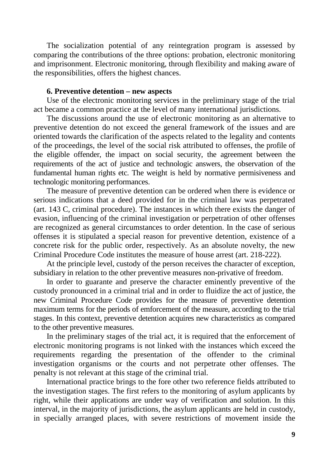The socialization potential of any reintegration program is assessed by comparing the contributions of the three options: probation, electronic monitoring and imprisonment. Electronic monitoring, through flexibility and making aware of the responsibilities, offers the highest chances.

#### **6. Preventive detention – new aspects**

Use of the electronic monitoring services in the preliminary stage of the trial act became a common practice at the level of many international jurisdictions.

The discussions around the use of electronic monitoring as an alternative to preventive detention do not exceed the general framework of the issues and are oriented towards the clarification of the aspects related to the legality and contents of the proceedings, the level of the social risk attributed to offenses, the profile of the eligible offender, the impact on social security, the agreement between the requirements of the act of justice and technologic answers, the observation of the fundamental human rights etc. The weight is held by normative permisiveness and technologic monitoring performances.

The measure of preventive detention can be ordered when there is evidence or serious indications that a deed provided for in the criminal law was perpetrated (art. 143 C, criminal procedure). The instances in which there exists the danger of evasion, influencing of the criminal investigation or perpetration of other offenses are recognized as general circumstances to order detention. In the case of serious offenses it is stipulated a special reason for preventive detention, existence of a concrete risk for the public order, respectively. As an absolute novelty, the new Criminal Procedure Code institutes the measure of house arrest (art. 218-222).

At the principle level, custody of the person receives the character of exception, subsidiary in relation to the other preventive measures non-privative of freedom.

In order to guarante and preserve the character eminently preventive of the custody pronounced in a criminal trial and in order to fluidize the act of justice, the new Criminal Procedure Code provides for the measure of preventive detention maximum terms for the periods of emforcement of the measure, according to the trial stages. In this context, preventive detention acquires new characteristics as compared to the other preventive measures.

In the preliminary stages of the trial act, it is required that the enforcement of electronic monitoring programs is not linked with the instances which exceed the requirements regarding the presentation of the offender to the criminal investigation organisms or the courts and not perpetrate other offenses. The penalty is not relevant at this stage of the criminal trial.

International practice brings to the fore other two reference fields attributed to the investigation stages. The first refers to the monitoring of asylum applicants by right, while their applications are under way of verification and solution. In this interval, in the majority of jurisdictions, the asylum applicants are held in custody, in specially arranged places, with severe restrictions of movement inside the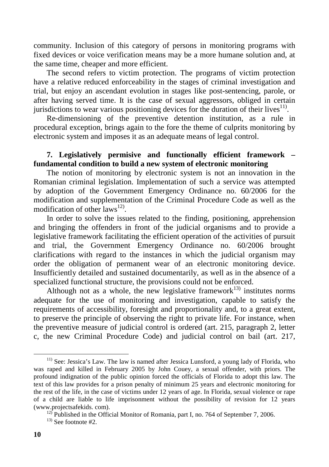community. Inclusion of this category of persons in monitoring programs with fixed devices or voice verification means may be a more humane solution and, at the same time, cheaper and more efficient.

The second refers to victim protection. The programs of victim protection have a relative reduced enforceability in the stages of criminal investigation and trial, but enjoy an ascendant evolution in stages like post-sentencing, parole, or after having served time. It is the case of sexual aggressors, obliged in certain jurisdictions to wear various positioning devices for the duration of their lives $^{11}$ .

Re-dimensioning of the preventive detention institution, as a rule in procedural exception, brings again to the fore the theme of culprits monitoring by electronic system and imposes it as an adequate means of legal control.

# **7. Legislatively permisive and functionally efficient framework – fundamental condition to build a new system of electronic monitoring**

The notion of monitoring by electronic system is not an innovation in the Romanian criminal legislation. Implementation of such a service was attempted by adoption of the Government Emergency Ordinance no. 60/2006 for the modification and supplementation of the Criminal Procedure Code as well as the modification of other  $laws^{12}$ .

In order to solve the issues related to the finding, positioning, apprehension and bringing the offenders in front of the judicial organisms and to provide a legislative framework facilitating the efficient operation of the activities of pursuit and trial, the Government Emergency Ordinance no. 60/2006 brought clarifications with regard to the instances in which the judicial organism may order the obligation of permanent wear of an electronic monitoring device. Insufficiently detailed and sustained documentarily, as well as in the absence of a specialized functional structure, the provisions could not be enforced.

Although not as a whole, the new legislative framework<sup>13)</sup> institutes norms adequate for the use of monitoring and investigation, capable to satisfy the requirements of accessibility, foresight and proportionality and, to a great extent, to preserve the principle of observing the right to private life. For instance, when the preventive measure of judicial control is ordered (art. 215, paragraph 2, letter c, the new Criminal Procedure Code) and judicial control on bail (art. 217,

 $11$ <sup>11</sup>) See: Jessica's Law. The law is named after Jessica Lunsford, a young lady of Florida, who was raped and killed in February 2005 by John Couey, a sexual offender, with priors. The profound indignation of the public opinion forced the officials of Florida to adopt this law. The text of this law provides for a prison penalty of minimum 25 years and electronic monitoring for the rest of the life, in the case of victims under 12 years of age. In Florida, sexual violence or rape of a child are liable to life imprisonment without the possibility of revision for 12 years (www.projectsafekids. com).

<sup>&</sup>lt;sup>12)</sup> Published in the Official Monitor of Romania, part I, no. 764 of September 7, 2006.

<sup>13)</sup> See footnote #2.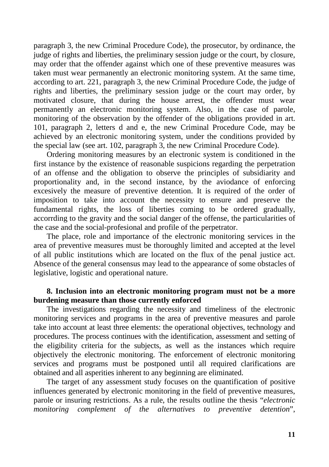paragraph 3, the new Criminal Procedure Code), the prosecutor, by ordinance, the judge of rights and liberties, the preliminary session judge or the court, by closure, may order that the offender against which one of these preventive measures was taken must wear permanently an electronic monitoring system. At the same time, according to art. 221, paragraph 3, the new Criminal Procedure Code, the judge of rights and liberties, the preliminary session judge or the court may order, by motivated closure, that during the house arrest, the offender must wear permanently an electronic monitoring system. Also, in the case of parole, monitoring of the observation by the offender of the obligations provided in art. 101, paragraph 2, letters d and e, the new Criminal Procedure Code, may be achieved by an electronic monitoring system, under the conditions provided by the special law (see art. 102, paragraph 3, the new Criminal Procedure Code).

Ordering monitoring measures by an electronic system is conditioned in the first instance by the existence of reasonable suspicions regarding the perpetration of an offense and the obligation to observe the principles of subsidiarity and proportionality and, in the second instance, by the aviodance of enforcing excesively the measure of preventive detention. It is required of the order of imposition to take into account the necessity to ensure and preserve the fundamental rights, the loss of liberties coming to be ordered gradually, accorrding to the gravity and the social danger of the offense, the particularities of the case and the social-profesional and profile of the perpetrator.

The place, role and importance of the electronic monitoring services in the area of preventive measures must be thoroughly limited and accepted at the level of all public institutions which are located on the flux of the penal justice act. Absence of the general consensus may lead to the appearance of some obstacles of legislative, logistic and operational nature.

### **8. Inclusion into an electronic monitoring program must not be a more burdening measure than those currently enforced**

The investigations regarding the necessity and timeliness of the electronic monitoring services and programs in the area of preventive measures and parole take into account at least three elements: the operational objectives, technology and procedures. The process continues with the identification, assessment and setting of the eligibility criteria for the subjects, as well as the instances which require objectively the electronic monitoring. The enforcement of electronic monitoring services and programs must be postponed until all required clarifications are obtained and all asperities inherent to any beginning are eliminated.

The target of any assessment study focuses on the quantification of positive influences generated by electronic monitoring in the field of preventive measures, parole or insuring restrictions. As a rule, the results outline the thesis "*electronic monitoring complement of the alternatives to preventive detention*",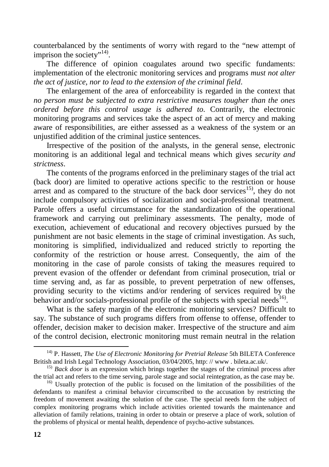counterbalanced by the sentiments of worry with regard to the "new attempt of imprison the society"<sup>14)</sup>.

The difference of opinion coagulates around two specific fundaments: implementation of the electronic monitoring services and programs *must not alter the act of justice, nor to lead to the extension of the criminal field*.

The enlargement of the area of enforceability is regarded in the context that *no person must be subjected to extra restrictive measures tougher than the ones ordered before this control usage is adhered to*. Contrarily, the electronic monitoring programs and services take the aspect of an act of mercy and making aware of responsibilities, are either assessed as a weakness of the system or an unjustified addition of the criminal justice sentences.

Irrespective of the position of the analysts, in the general sense, electronic monitoring is an additional legal and technical means which gives *security and strictness*.

The contents of the programs enforced in the preliminary stages of the trial act (back door) are limited to operative actions specific to the restriction or house arrest and as compared to the structure of the back door services<sup>15)</sup>, they do not include compulsory activities of socialization and social-professional treatment. Parole offers a useful circumstance for the standardization of the operational framework and carrying out preliminary assessments. The penalty, mode of execution, achievement of educational and recovery objectives pursued by the punishment are not basic elements in the stage of criminal investigation. As such, monitoring is simplified, individualized and reduced strictly to reporting the conformity of the restriction or house arrest. Consequently, the aim of the monitoring in the case of parole consists of taking the measures required to prevent evasion of the offender or defendant from criminal prosecution, trial or time serving and, as far as possible, to prevent perpetration of new offenses, providing security to the victims and/or rendering of services required by the behavior and/or socials-professional profile of the subjects with special needs<sup>16</sup>.

What is the safety margin of the electronic monitoring services? Difficult to say. The substance of such programs differs from offense to offense, offender to offender, decision maker to decision maker. Irrespective of the structure and aim of the control decision, electronic monitoring must remain neutral in the relation

<sup>14)</sup> P. Hassett, *The Use of Electronic Monitoring for Pretrial Release* 5th BILETA Conference British and Irish Legal Technology Association, 03/04/2005, http: // www . bileta.ac.uk/.

<sup>&</sup>lt;sup>15)</sup> *Back door* is an expression which brings together the stages of the criminal process after the trial act and refers to the time serving, parole stage and social reintegration, as the case may be.

<sup>&</sup>lt;sup>16)</sup> Usually protection of the public is focused on the limitation of the possibilities of the defendants to manifest a criminal behavior circumscribed to the accusation by restricting the freedom of movement awaiting the solution of the case. The special needs form the subject of complex monitoring programs which include activities oriented towards the maintenance and alleviation of family relations, training in order to obtain or preserve a place of work, solution of the problems of physical or mental health, dependence of psycho-active substances.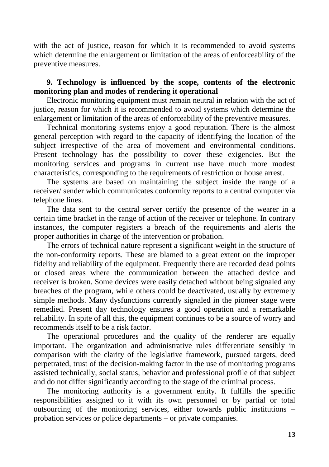with the act of justice, reason for which it is recommended to avoid systems which determine the enlargement or limitation of the areas of enforceability of the preventive measures.

## **9. Technology is influenced by the scope, contents of the electronic monitoring plan and modes of rendering it operational**

Electronic monitoring equipment must remain neutral in relation with the act of justice, reason for which it is recommended to avoid systems which determine the enlargement or limitation of the areas of enforceability of the preventive measures.

Technical monitoring systems enjoy a good reputation. There is the almost general perception with regard to the capacity of identifying the location of the subject irrespective of the area of movement and environmental conditions. Present technology has the possibility to cover these exigencies. But the monitoring services and programs in current use have much more modest characteristics, corresponding to the requirements of restriction or house arrest.

The systems are based on maintaining the subject inside the range of a receiver/ sender which communicates conformity reports to a central computer via telephone lines.

The data sent to the central server certify the presence of the wearer in a certain time bracket in the range of action of the receiver or telephone. In contrary instances, the computer registers a breach of the requirements and alerts the proper authorities in charge of the intervention or probation.

The errors of technical nature represent a significant weight in the structure of the non-conformity reports. These are blamed to a great extent on the improper fidelity and reliability of the equipment. Frequently there are recorded dead points or closed areas where the communication between the attached device and receiver is broken. Some devices were easily detached without being signaled any breaches of the program, while others could be deactivated, usually by extremely simple methods. Many dysfunctions currently signaled in the pioneer stage were remedied. Present day technology ensures a good operation and a remarkable reliability. In spite of all this, the equipment continues to be a source of worry and recommends itself to be a risk factor.

The operational procedures and the quality of the renderer are equally important. The organization and administrative rules differentiate sensibly in comparison with the clarity of the legislative framework, pursued targets, deed perpetrated, trust of the decision-making factor in the use of monitoring programs assisted technically, social status, behavior and professional profile of that subject and do not differ significantly according to the stage of the criminal process.

The monitoring authority is a government entity. It fulfills the specific responsibilities assigned to it with its own personnel or by partial or total outsourcing of the monitoring services, either towards public institutions – probation services or police departments – or private companies.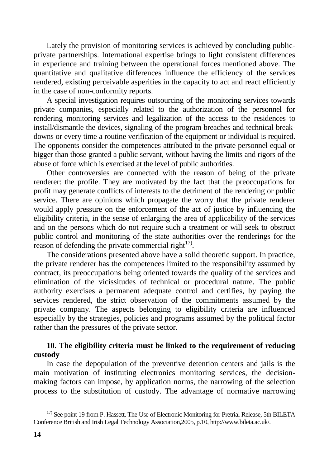Lately the provision of monitoring services is achieved by concluding publicprivate partnerships. International expertise brings to light consistent differences in experience and training between the operational forces mentioned above. The quantitative and qualitative differences influence the efficiency of the services rendered, existing perceivable asperities in the capacity to act and react efficiently in the case of non-conformity reports.

A special investigation requires outsourcing of the monitoring services towards private companies, especially related to the authorization of the personnel for rendering monitoring services and legalization of the access to the residences to install/dismantle the devices, signaling of the program breaches and technical breakdowns or every time a routine verification of the equipment or individual is required. The opponents consider the competences attributed to the private personnel equal or bigger than those granted a public servant, without having the limits and rigors of the abuse of force which is exercised at the level of public authorities.

Other controversies are connected with the reason of being of the private renderer: the profile. They are motivated by the fact that the preoccupations for profit may generate conflicts of interests to the detriment of the rendering or public service. There are opinions which propagate the worry that the private renderer would apply pressure on the enforcement of the act of justice by influencing the eligibility criteria, in the sense of enlarging the area of applicability of the services and on the persons which do not require such a treatment or will seek to obstruct public control and monitoring of the state authorities over the renderings for the reason of defending the private commercial right $17$ .

The considerations presented above have a solid theoretic support. In practice, the private renderer has the competences limited to the responsibility assumed by contract, its preoccupations being oriented towards the quality of the services and elimination of the vicissitudes of technical or procedural nature. The public authority exercises a permanent adequate control and certifies, by paying the services rendered, the strict observation of the commitments assumed by the private company. The aspects belonging to eligibility criteria are influenced especially by the strategies, policies and programs assumed by the political factor rather than the pressures of the private sector.

# **10. The eligibility criteria must be linked to the requirement of reducing custody**

In case the depopulation of the preventive detention centers and jails is the main motivation of instituting electronics monitoring services, the decisionmaking factors can impose, by application norms, the narrowing of the selection process to the substitution of custody. The advantage of normative narrowing

 $\overline{a}$ <sup>17)</sup> See point 19 from P. Hassett, The Use of Electronic Monitoring for Pretrial Release, 5th BILETA Conference British and Irish Legal Technology Association,2005, p.10, http://www.bileta.ac.uk/.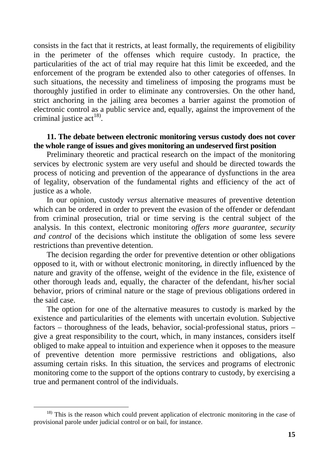consists in the fact that it restricts, at least formally, the requirements of eligibility in the perimeter of the offenses which require custody. In practice, the particularities of the act of trial may require hat this limit be exceeded, and the enforcement of the program be extended also to other categories of offenses. In such situations, the necessity and timeliness of imposing the programs must be thoroughly justified in order to eliminate any controversies. On the other hand, strict anchoring in the jailing area becomes a barrier against the promotion of electronic control as a public service and, equally, against the improvement of the criminal justice  $\text{act}^{18}$ .

#### **11. The debate between electronic monitoring versus custody does not cover the whole range of issues and gives monitoring an undeserved first position**

Preliminary theoretic and practical research on the impact of the monitoring services by electronic system are very useful and should be directed towards the process of noticing and prevention of the appearance of dysfunctions in the area of legality, observation of the fundamental rights and efficiency of the act of justice as a whole.

In our opinion, custody *versus* alternative measures of preventive detention which can be ordered in order to prevent the evasion of the offender or defendant from criminal prosecution, trial or time serving is the central subject of the analysis. In this context, electronic monitoring *offers more guarantee, security and control* of the decisions which institute the obligation of some less severe restrictions than preventive detention.

The decision regarding the order for preventive detention or other obligations opposed to it, with or without electronic monitoring, in directly influenced by the nature and gravity of the offense, weight of the evidence in the file, existence of other thorough leads and, equally, the character of the defendant, his/her social behavior, priors of criminal nature or the stage of previous obligations ordered in the said case.

The option for one of the alternative measures to custody is marked by the existence and particularities of the elements with uncertain evolution. Subjective factors – thoroughness of the leads, behavior, social-professional status, priors – give a great responsibility to the court, which, in many instances, considers itself obliged to make appeal to intuition and experience when it opposes to the measure of preventive detention more permissive restrictions and obligations, also assuming certain risks. In this situation, the services and programs of electronic monitoring come to the support of the options contrary to custody, by exercising a true and permanent control of the individuals.

<sup>&</sup>lt;sup>18)</sup> This is the reason which could prevent application of electronic monitoring in the case of provisional parole under judicial control or on bail, for instance.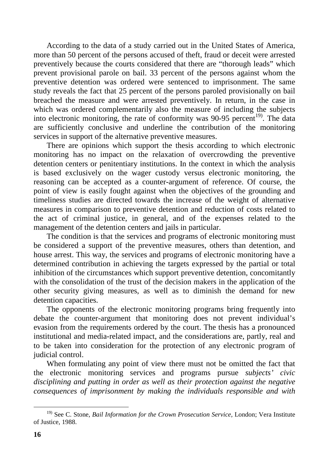According to the data of a study carried out in the United States of America, more than 50 percent of the persons accused of theft, fraud or deceit were arrested preventively because the courts considered that there are "thorough leads" which prevent provisional parole on bail. 33 percent of the persons against whom the preventive detention was ordered were sentenced to imprisonment. The same study reveals the fact that 25 percent of the persons paroled provisionally on bail breached the measure and were arrested preventively. In return, in the case in which was ordered complementarily also the measure of including the subjects into electronic monitoring, the rate of conformity was  $90-95$  percent<sup>19)</sup>. The data are sufficiently conclusive and underline the contribution of the monitoring services in support of the alternative preventive measures.

There are opinions which support the thesis according to which electronic monitoring has no impact on the relaxation of overcrowding the preventive detention centers or penitentiary institutions. In the context in which the analysis is based exclusively on the wager custody versus electronic monitoring, the reasoning can be accepted as a counter-argument of reference. Of course, the point of view is easily fought against when the objectives of the grounding and timeliness studies are directed towards the increase of the weight of alternative measures in comparison to preventive detention and reduction of costs related to the act of criminal justice, in general, and of the expenses related to the management of the detention centers and jails in particular.

The condition is that the services and programs of electronic monitoring must be considered a support of the preventive measures, others than detention, and house arrest. This way, the services and programs of electronic monitoring have a determined contribution in achieving the targets expressed by the partial or total inhibition of the circumstances which support preventive detention, concomitantly with the consolidation of the trust of the decision makers in the application of the other security giving measures, as well as to diminish the demand for new detention capacities.

The opponents of the electronic monitoring programs bring frequently into debate the counter-argument that monitoring does not prevent individual's evasion from the requirements ordered by the court. The thesis has a pronounced institutional and media-related impact, and the considerations are, partly, real and to be taken into consideration for the protection of any electronic program of judicial control.

When formulating any point of view there must not be omitted the fact that the electronic monitoring services and programs pursue *subjects' civic disciplining and putting in order as well as their protection against the negative consequences of imprisonment by making the individuals responsible and with* 

 $\overline{a}$ 19) See C. Stone, *Bail Information for the Crown Prosecution Service,* London; Vera Institute of Justice, 1988.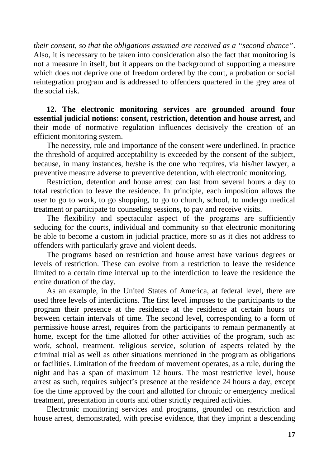*their consent, so that the obligations assumed are received as a "second chance"*. Also, it is necessary to be taken into consideration also the fact that monitoring is not a measure in itself, but it appears on the background of supporting a measure which does not deprive one of freedom ordered by the court, a probation or social reintegration program and is addressed to offenders quartered in the grey area of the social risk.

**12. The electronic monitoring services are grounded around four essential judicial notions: consent, restriction, detention and house arrest,** and their mode of normative regulation influences decisively the creation of an efficient monitoring system.

The necessity, role and importance of the consent were underlined. In practice the threshold of acquired acceptability is exceeded by the consent of the subject, because, in many instances, he/she is the one who requires, via his/her lawyer, a preventive measure adverse to preventive detention, with electronic monitoring.

Restriction, detention and house arrest can last from several hours a day to total restriction to leave the residence. In principle, each imposition allows the user to go to work, to go shopping, to go to church, school, to undergo medical treatment or participate to counseling sessions, to pay and receive visits.

The flexibility and spectacular aspect of the programs are sufficiently seducing for the courts, individual and community so that electronic monitoring be able to become a custom in judicial practice, more so as it dies not address to offenders with particularly grave and violent deeds.

The programs based on restriction and house arrest have various degrees or levels of restriction. These can evolve from a restriction to leave the residence limited to a certain time interval up to the interdiction to leave the residence the entire duration of the day.

As an example, in the United States of America, at federal level, there are used three levels of interdictions. The first level imposes to the participants to the program their presence at the residence at the residence at certain hours or between certain intervals of time. The second level, corresponding to a form of permissive house arrest, requires from the participants to remain permanently at home, except for the time allotted for other activities of the program, such as: work, school, treatment, religious service, solution of aspects related by the criminal trial as well as other situations mentioned in the program as obligations or facilities. Limitation of the freedom of movement operates, as a rule, during the night and has a span of maximum 12 hours. The most restrictive level, house arrest as such, requires subject's presence at the residence 24 hours a day, except foe the time approved by the court and allotted for chronic or emergency medical treatment, presentation in courts and other strictly required activities.

Electronic monitoring services and programs, grounded on restriction and house arrest, demonstrated, with precise evidence, that they imprint a descending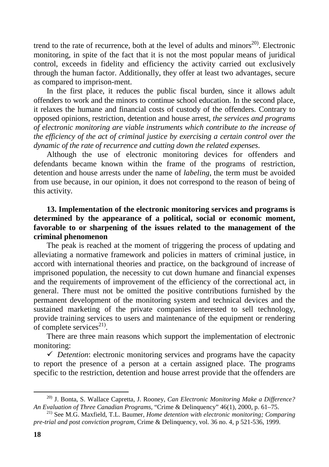trend to the rate of recurrence, both at the level of adults and minors<sup>20)</sup>. Electronic monitoring, in spite of the fact that it is not the most popular means of juridical control, exceeds in fidelity and efficiency the activity carried out exclusively through the human factor. Additionally, they offer at least two advantages, secure as compared to imprison-ment.

In the first place, it reduces the public fiscal burden, since it allows adult offenders to work and the minors to continue school education. In the second place, it relaxes the humane and financial costs of custody of the offenders. Contrary to opposed opinions, restriction, detention and house arrest, *the services and programs of electronic monitoring are viable instruments which contribute to the increase of the efficiency of the act of criminal justice by exercising a certain control over the dynamic of the rate of recurrence and cutting down the related expenses*.

Although the use of electronic monitoring devices for offenders and defendants became known within the frame of the programs of restriction, detention and house arrests under the name of *labeling*, the term must be avoided from use because, in our opinion, it does not correspond to the reason of being of this activity.

# **13. Implementation of the electronic monitoring services and programs is determined by the appearance of a political, social or economic moment, favorable to or sharpening of the issues related to the management of the criminal phenomenon**

The peak is reached at the moment of triggering the process of updating and alleviating a normative framework and policies in matters of criminal justice, in accord with international theories and practice, on the background of increase of imprisoned population, the necessity to cut down humane and financial expenses and the requirements of improvement of the efficiency of the correctional act, in general. There must not be omitted the positive contributions furnished by the permanent development of the monitoring system and technical devices and the sustained marketing of the private companies interested to sell technology, provide training services to users and maintenance of the equipment or rendering of complete services $^{21}$ .

There are three main reasons which support the implementation of electronic monitoring:

 *Detention*: electronic monitoring services and programs have the capacity to report the presence of a person at a certain assigned place. The programs specific to the restriction, detention and house arrest provide that the offenders are

<sup>20)</sup> J. Bonta, S. Wallace Capretta, J. Rooney, *Can Electronic Monitoring Make a Difference? An Evaluation of Three Canadian Programs*, "Crime & Delinquency" 46(1), 2000, p. 61–75.

<sup>&</sup>lt;sup>21)</sup> See M.G. Maxfield, T.L. Baumer, *Home detention with electronic monitoring; Comparing pre-trial and post conviction program*, Crime & Delinquency, vol. 36 no. 4, p 521-536, 1999.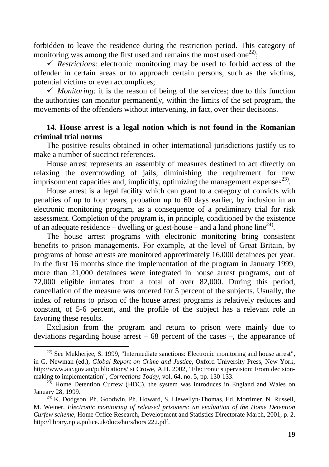forbidden to leave the residence during the restriction period. This category of monitoring was among the first used and remains the most used one<sup>22)</sup>;

 $\checkmark$  Restrictions: electronic monitoring may be used to forbid access of the offender in certain areas or to approach certain persons, such as the victims, potential victims or even accomplices;

*Monitoring:* it is the reason of being of the services; due to this function the authorities can monitor permanently, within the limits of the set program, the movements of the offenders without intervening, in fact, over their decisions.

## **14. House arrest is a legal notion which is not found in the Romanian criminal trial norms**

The positive results obtained in other international jurisdictions justify us to make a number of succinct references.

House arrest represents an assembly of measures destined to act directly on relaxing the overcrowding of jails, diminishing the requirement for new imprisonment capacities and, implicitly, optimizing the management expenses $^{23}$ .

House arrest is a legal facility which can grant to a category of convicts with penalties of up to four years, probation up to 60 days earlier, by inclusion in an electronic monitoring program, as a consequence of a preliminary trial for risk assessment. Completion of the program is, in principle, conditioned by the existence of an adequate residence – dwelling or guest-house – and a land phone line<sup>24)</sup>.

The house arrest programs with electronic monitoring bring consistent benefits to prison managements. For example, at the level of Great Britain, by programs of house arrests are monitored approximately 16,000 detainees per year. In the first 16 months since the implementation of the program in January 1999, more than 21,000 detainees were integrated in house arrest programs, out of 72,000 eligible inmates from a total of over 82,000. During this period, cancellation of the measure was ordered for 5 percent of the subjects. Usually, the index of returns to prison of the house arrest programs is relatively reduces and constant, of 5-6 percent, and the profile of the subject has a relevant role in favoring these results.

Exclusion from the program and return to prison were mainly due to deviations regarding house arrest – 68 percent of the cases –, the appearance of

<sup>22)</sup> See Mukherjee, S. 1999, "Intermediate sanctions: Electronic monitoring and house arrest", in G. Newman (ed.), *Global Report on Crime and Justice*, Oxford University Press, New York, http://www.aic.gov.au/publications/ si Crowe, A.H. 2002, "Electronic supervision: From decisionmaking to implementation", *Corrections Today*, vol. 64, no. 5, pp. 130-133.

 $23\overline{)}$  Home Detention Curfew (HDC), the system was introduces in England and Wales on January 28, 1999.

 $^{24}$ , K. Dodgson, Ph. Goodwin, Ph. Howard, S. Llewellyn-Thomas, Ed. Mortimer, N. Russell, M. Weiner, *Electronic monitoring of released prisoners: an evaluation of the Home Detention Curfew scheme,* Home Office Research, Development and Statistics Directorate March, 2001, p. 2. http://library.npia.police.uk/docs/hors/hors 222.pdf.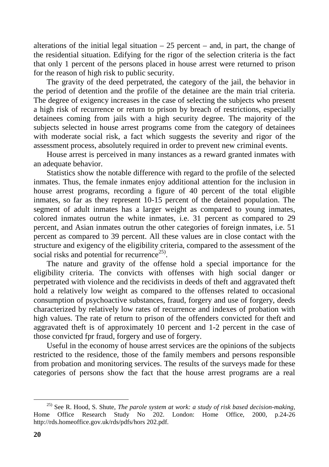alterations of the initial legal situation  $-25$  percent  $-$  and, in part, the change of the residential situation. Edifying for the rigor of the selection criteria is the fact that only 1 percent of the persons placed in house arrest were returned to prison for the reason of high risk to public security.

The gravity of the deed perpetrated, the category of the jail, the behavior in the period of detention and the profile of the detainee are the main trial criteria. The degree of exigency increases in the case of selecting the subjects who present a high risk of recurrence or return to prison by breach of restrictions, especially detainees coming from jails with a high security degree. The majority of the subjects selected in house arrest programs come from the category of detainees with moderate social risk, a fact which suggests the severity and rigor of the assessment process, absolutely required in order to prevent new criminal events.

House arrest is perceived in many instances as a reward granted inmates with an adequate behavior.

Statistics show the notable difference with regard to the profile of the selected inmates. Thus, the female inmates enjoy additional attention for the inclusion in house arrest programs, recording a figure of 40 percent of the total eligible inmates, so far as they represent 10-15 percent of the detained population. The segment of adult inmates has a larger weight as compared to young inmates, colored inmates outrun the white inmates, i.e. 31 percent as compared to 29 percent, and Asian inmates outrun the other categories of foreign inmates, i.e. 51 percent as compared to 39 percent. All these values are in close contact with the structure and exigency of the eligibility criteria, compared to the assessment of the social risks and potential for recurrence<sup>25)</sup>.

The nature and gravity of the offense hold a special importance for the eligibility criteria. The convicts with offenses with high social danger or perpetrated with violence and the recidivists in deeds of theft and aggravated theft hold a relatively low weight as compared to the offenses related to occasional consumption of psychoactive substances, fraud, forgery and use of forgery, deeds characterized by relatively low rates of recurrence and indexes of probation with high values. The rate of return to prison of the offenders convicted for theft and aggravated theft is of approximately 10 percent and 1-2 percent in the case of those convicted fpr fraud, forgery and use of forgery.

Useful in the economy of house arrest services are the opinions of the subjects restricted to the residence, those of the family members and persons responsible from probation and monitoring services. The results of the surveys made for these categories of persons show the fact that the house arrest programs are a real

<sup>25)</sup> See R. Hood, S. Shute, *The parole system at work: a study of risk based decision-making,*  Home Office Research Study No 202. London: Home Office, 2000, p.24-26 http://rds.homeoffice.gov.uk/rds/pdfs/hors 202.pdf.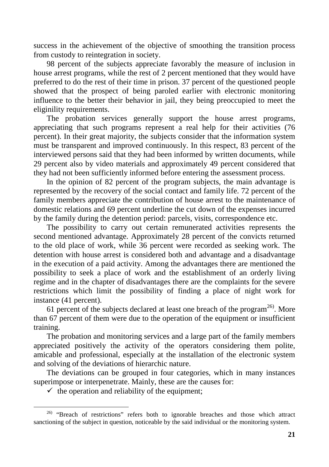success in the achievement of the objective of smoothing the transition process from custody to reintegration in society.

98 percent of the subjects appreciate favorably the measure of inclusion in house arrest programs, while the rest of 2 percent mentioned that they would have preferred to do the rest of their time in prison. 37 percent of the questioned people showed that the prospect of being paroled earlier with electronic monitoring influence to the better their behavior in jail, they being preoccupied to meet the eliginility requirements.

The probation services generally support the house arrest programs, appreciating that such programs represent a real help for their activities (76 percent). In their great majority, the subjects consider that the information system must be transparent and improved continuously. In this respect, 83 percent of the interviewed persons said that they had been informed by written documents, while 29 percent also by video materials and approximately 49 percent considered that they had not been sufficiently informed before entering the assessment process.

In the opinion of 82 percent of the program subjects, the main advantage is represented by the recovery of the social contact and family life. 72 percent of the family members appreciate the contribution of house arrest to the maintenance of domestic relations and 69 percent underline the cut down of the expenses incurred by the family during the detention period: parcels, visits, correspondence etc.

The possibility to carry out certain remunerated activities represents the second mentioned advantage. Approximately 28 percent of the convicts returned to the old place of work, while 36 percent were recorded as seeking work. The detention with house arrest is considered both and advantage and a disadvantage in the execution of a paid activity. Among the advantages there are mentioned the possibility to seek a place of work and the establishment of an orderly living regime and in the chapter of disadvantages there are the complaints for the severe restrictions which limit the possibility of finding a place of night work for instance (41 percent).

61 percent of the subjects declared at least one breach of the program<sup>26)</sup>. More than 67 percent of them were due to the operation of the equipment or insufficient training.

The probation and monitoring services and a large part of the family members appreciated positively the activity of the operators considering them polite, amicable and professional, especially at the installation of the electronic system and solving of the deviations of hierarchic nature.

The deviations can be grouped in four categories, which in many instances superimpose or interpenetrate. Mainly, these are the causes for:

 $\checkmark$  the operation and reliability of the equipment;

<sup>&</sup>lt;sup>26)</sup> "Breach of restrictions" refers both to ignorable breaches and those which attract sanctioning of the subject in question, noticeable by the said individual or the monitoring system.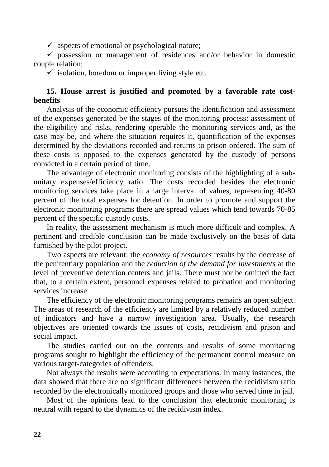$\checkmark$  aspects of emotional or psychological nature;

 $\checkmark$  possession or management of residences and/or behavior in domestic couple relation;

 $\checkmark$  isolation, boredom or improper living style etc.

# **15. House arrest is justified and promoted by a favorable rate costbenefits**

Analysis of the economic efficiency pursues the identification and assessment of the expenses generated by the stages of the monitoring process: assessment of the eligibility and risks, rendering operable the monitoring services and, as the case may be, and where the situation requires it, quantification of the expenses determined by the deviations recorded and returns to prison ordered. The sum of these costs is opposed to the expenses generated by the custody of persons convicted in a certain period of time.

The advantage of electronic monitoring consists of the highlighting of a subunitary expenses/efficiency ratio. The costs recorded besides the electronic monitoring services take place in a large interval of values, representing 40-80 percent of the total expenses for detention. In order to promote and support the electronic monitoring programs there are spread values which tend towards 70-85 percent of the specific custody costs.

In reality, the assessment mechanism is much more difficult and complex. A pertinent and credible conclusion can be made exclusively on the basis of data furnished by the pilot project.

Two aspects are relevant: the *economy of resources* results by the decrease of the penitentiary population and the *reduction of the demand for investments* at the level of preventive detention centers and jails. There must nor be omitted the fact that, to a certain extent, personnel expenses related to probation and monitoring services increase.

The efficiency of the electronic monitoring programs remains an open subject. The areas of research of the efficiency are limited by a relatively reduced number of indicators and have a narrow investigation area. Usually, the research objectives are oriented towards the issues of costs, recidivism and prison and social impact.

The studies carried out on the contents and results of some monitoring programs sought to highlight the efficiency of the permanent control measure on various target-categories of offenders.

Not always the results were according to expectations. In many instances, the data showed that there are no significant differences between the recidivism ratio recorded by the electronically monitored groups and those who served time in jail.

Most of the opinions lead to the conclusion that electronic monitoring is neutral with regard to the dynamics of the recidivism index.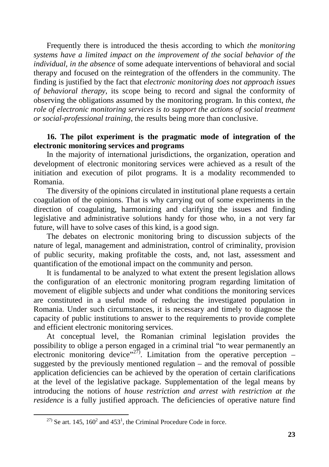Frequently there is introduced the thesis according to which *the monitoring systems have a limited impact on the improvement of the social behavior of the individual, in the absence* of some adequate interventions of behavioral and social therapy and focused on the reintegration of the offenders in the community. The finding is justified by the fact that *electronic monitoring does not approach issues of behavioral therapy*, its scope being to record and signal the conformity of observing the obligations assumed by the monitoring program. In this context, *the role of electronic monitoring services is to support the actions of social treatment or social-professional training*, the results being more than conclusive.

### **16. The pilot experiment is the pragmatic mode of integration of the electronic monitoring services and programs**

In the majority of international jurisdictions, the organization, operation and development of electronic monitoring services were achieved as a result of the initiation and execution of pilot programs. It is a modality recommended to Romania.

The diversity of the opinions circulated in institutional plane requests a certain coagulation of the opinions. That is why carrying out of some experiments in the direction of coagulating, harmonizing and clarifying the issues and finding legislative and administrative solutions handy for those who, in a not very far future, will have to solve cases of this kind, is a good sign.

The debates on electronic monitoring bring to discussion subjects of the nature of legal, management and administration, control of criminality, provision of public security, making profitable the costs, and, not last, assessment and quantification of the emotional impact on the community and person.

It is fundamental to be analyzed to what extent the present legislation allows the configuration of an electronic monitoring program regarding limitation of movement of eligible subjects and under what conditions the monitoring services are constituted in a useful mode of reducing the investigated population in Romania. Under such circumstances, it is necessary and timely to diagnose the capacity of public institutions to answer to the requirements to provide complete and efficient electronic monitoring services.

At conceptual level, the Romanian criminal legislation provides the possibility to oblige a person engaged in a criminal trial "to wear permanently an electronic monitoring device"<sup>27)</sup>. Limitation from the operative perception – suggested by the previously mentioned regulation – and the removal of possible application deficiencies can be achieved by the operation of certain clarifications at the level of the legislative package. Supplementation of the legal means by introducing the notions of *house restriction and arrest with restriction at the residence* is a fully justified approach. The deficiencies of operative nature find

<sup>&</sup>lt;sup>27)</sup> Se art. 145, 160<sup>2</sup> and 453<sup>1</sup>, the Criminal Procedure Code in force.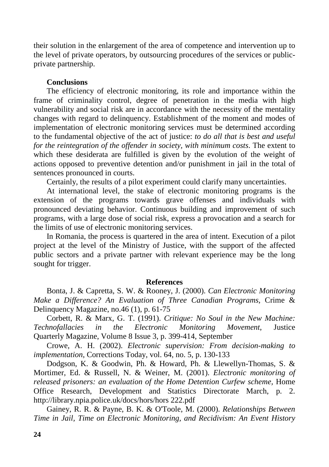their solution in the enlargement of the area of competence and intervention up to the level of private operators, by outsourcing procedures of the services or publicprivate partnership.

### **Conclusions**

The efficiency of electronic monitoring, its role and importance within the frame of criminality control, degree of penetration in the media with high vulnerability and social risk are in accordance with the necessity of the mentality changes with regard to delinquency. Establishment of the moment and modes of implementation of electronic monitoring services must be determined according to the fundamental objective of the act of justice: *to do all that is best and useful for the reintegration of the offender in society, with minimum costs*. The extent to which these desiderata are fulfilled is given by the evolution of the weight of actions opposed to preventive detention and/or punishment in jail in the total of sentences pronounced in courts.

Certainly, the results of a pilot experiment could clarify many uncertainties.

At international level, the stake of electronic monitoring programs is the extension of the programs towards grave offenses and individuals with pronounced deviating behavior. Continuous building and improvement of such programs, with a large dose of social risk, express a provocation and a search for the limits of use of electronic monitoring services.

In Romania, the process is quartered in the area of intent. Execution of a pilot project at the level of the Ministry of Justice, with the support of the affected public sectors and a private partner with relevant experience may be the long sought for trigger.

### **References**

Bonta, J. & Capretta, S. W. & Rooney, J. (2000). *Can Electronic Monitoring Make a Difference? An Evaluation of Three Canadian Programs,* Crime & Delinquency Magazine, no.46 (1), p. 61-75

Corbett, R. & Marx, G. T. (1991). *Critique: No Soul in the New Machine: Technofallacies in the Electronic Monitoring Movement*, Justice Quarterly Magazine, Volume 8 Issue 3, p. 399-414, September

Crowe, A. H. (2002). *Electronic supervision: From decision-making to implementation*, Corrections Today, vol. 64, no. 5, p. 130-133

Dodgson, K. & Goodwin, Ph. & Howard, Ph. & Llewellyn-Thomas, S. & Mortimer, Ed. & Russell, N. & Weiner, M. (2001). *Electronic monitoring of released prisoners: an evaluation of the Home Detention Curfew scheme,* Home Office Research, Development and Statistics Directorate March, p. 2. http://library.npia.police.uk/docs/hors/hors 222.pdf

Gainey, R. R. & Payne, B. K. & O'Toole, M. (2000). *Relationships Between Time in Jail, Time on Electronic Monitoring, and Recidivism: An Event History*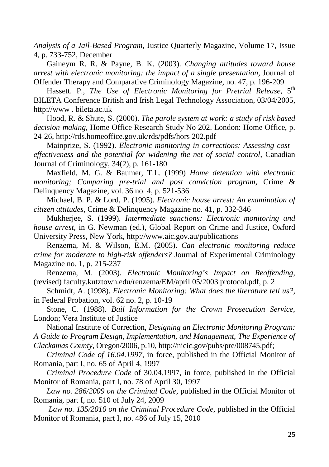*Analysis of a Jail-Based Program,* Justice Quarterly Magazine, Volume 17, Issue 4, p. 733-752, December

Gaineym R. R. & Payne, B. K. (2003). *Changing attitudes toward house arrest with electronic monitoring: the impact of a single presentation,* Journal of Offender Therapy and Comparative Criminology Magazine, no. 47, p. 196-209

Hassett. P., *The Use of Electronic Monitoring for Pretrial Release*, 5<sup>th</sup> BILETA Conference British and Irish Legal Technology Association, 03/04/2005, http://www . bileta.ac.uk

Hood, R. & Shute, S. (2000). *The parole system at work: a study of risk based decision-making*, Home Office Research Study No 202. London: Home Office, p. 24-26, http://rds.homeoffice.gov.uk/rds/pdfs/hors 202.pdf

Mainprize, S. (1992). *Electronic monitoring in corrections: Assessing cost effectiveness and the potential for widening the net of social control*, Canadian Journal of Criminology, 34(2), p. 161-180

Maxfield, M. G. & Baumer, T.L. (1999) *Home detention with electronic monitoring; Comparing pre-trial and post conviction program*, Crime & Delinquency Magazine, vol. 36 no. 4, p. 521-536

Michael, B. P. & Lord, P. (1995). *Electronic house arrest: An examination of citizen attitudes,* Crime & Delinquency Magazine no. 41, p. 332-346

Mukherjee, S. (1999). *Intermediate sanctions: Electronic monitoring and house arrest,* in G. Newman (ed.), Global Report on Crime and Justice, Oxford University Press, New York, http://www.aic.gov.au/publications

Renzema, M. & Wilson, E.M. (2005). *Can electronic monitoring reduce crime for moderate to high-risk offenders?* Journal of Experimental Criminology Magazine no. 1, p. 215-237

Renzema, M. (2003). *Electronic Monitoring's Impact on Reoffending*, (revised) faculty.kutztown.edu/renzema/EM/april 05/2003 protocol.pdf, p. 2

Schmidt, A. (1998). *Electronic Monitoring: What does the literature tell us?,* în Federal Probation, vol. 62 no. 2, p. 10-19

Stone, C. (1988). *Bail Information for the Crown Prosecution Service*, London; Vera Institute of Justice

National Institute of Correction, *Designing an Electronic Monitoring Program: A Guide to Program Design, Implementation, and Management, The Experience of* 

*Clackamas County,* Oregon/2006, p.10, http://nicic.gov/pubs/pre/008745.pdf;

*Criminal Code of 16.04.1997*, in force, published in the Official Monitor of Romania, part I, no. 65 of April 4, 1997

*Criminal Procedure Code* of 30.04.1997, in force, published in the Official Monitor of Romania, part I, no. 78 of April 30, 1997

*Law no. 286/2009 on the Criminal Code*, published in the Official Monitor of Romania, part I, no. 510 of July 24, 2009

*Law no. 135/2010 on the Criminal Procedure Code*, published in the Official Monitor of Romania, part I, no. 486 of July 15, 2010